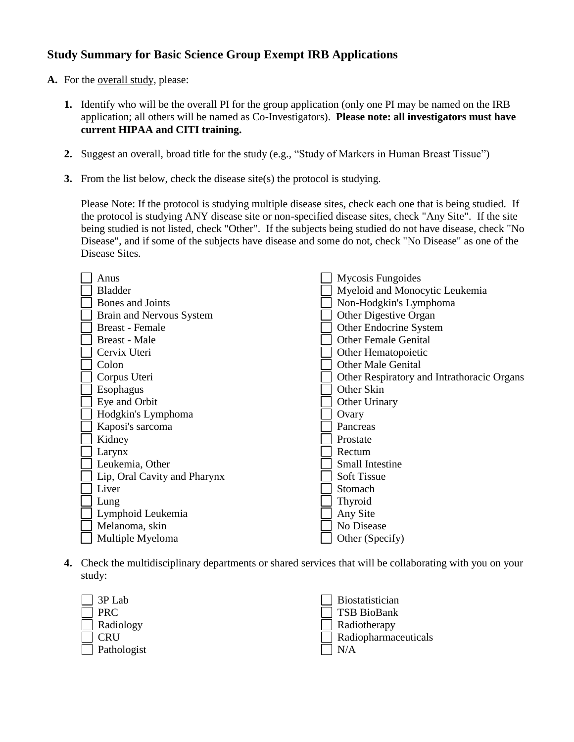## **Study Summary for Basic Science Group Exempt IRB Applications**

- A. For the <u>overall study</u>, please:
	- **1.** Identify who will be the overall PI for the group application (only one PI may be named on the IRB application; all others will be named as Co-Investigators). **Please note: all investigators must have current HIPAA and CITI training.**
	- **2.** Suggest an overall, broad title for the study (e.g., "Study of Markers in Human Breast Tissue")
	- **3.** From the list below, check the disease site(s) the protocol is studying.

Please Note: If the protocol is studying multiple disease sites, check each one that is being studied. If the protocol is studying ANY disease site or non-specified disease sites, check "Any Site". If the site being studied is not listed, check "Other". If the subjects being studied do not have disease, check "No Disease", and if some of the subjects have disease and some do not, check "No Disease" as one of the Disease Sites.

| Anus                         | Mycosis Fungoides                          |
|------------------------------|--------------------------------------------|
| <b>Bladder</b>               | Myeloid and Monocytic Leukemia             |
| Bones and Joints             | Non-Hodgkin's Lymphoma                     |
| Brain and Nervous System     | Other Digestive Organ                      |
| <b>Breast</b> - Female       | Other Endocrine System                     |
| Breast - Male                | <b>Other Female Genital</b>                |
| Cervix Uteri                 | Other Hematopoietic                        |
| Colon                        | <b>Other Male Genital</b>                  |
| Corpus Uteri                 | Other Respiratory and Intrathoracic Organs |
| Esophagus                    | Other Skin                                 |
| Eye and Orbit                | Other Urinary                              |
| Hodgkin's Lymphoma           | Ovary                                      |
| Kaposi's sarcoma             | Pancreas                                   |
| Kidney                       | Prostate                                   |
| Larynx                       | Rectum                                     |
| Leukemia, Other              | <b>Small Intestine</b>                     |
| Lip, Oral Cavity and Pharynx | <b>Soft Tissue</b>                         |
| Liver                        | Stomach                                    |
| Lung                         | <b>Thyroid</b>                             |
| Lymphoid Leukemia            | Any Site                                   |
| Melanoma, skin               | No Disease                                 |
| Multiple Myeloma             | Other (Specify)                            |

**4.** Check the multidisciplinary departments or shared services that will be collaborating with you on your study:

| $\vert$ 3P Lab     | Biostatistician             |
|--------------------|-----------------------------|
| <b>PRC</b>         | TSB BioBank                 |
| $\Box$ Radiology   | Radiotherapy                |
| CRU                | $\Box$ Radiopharmaceuticals |
| $\Box$ Pathologist | N/A                         |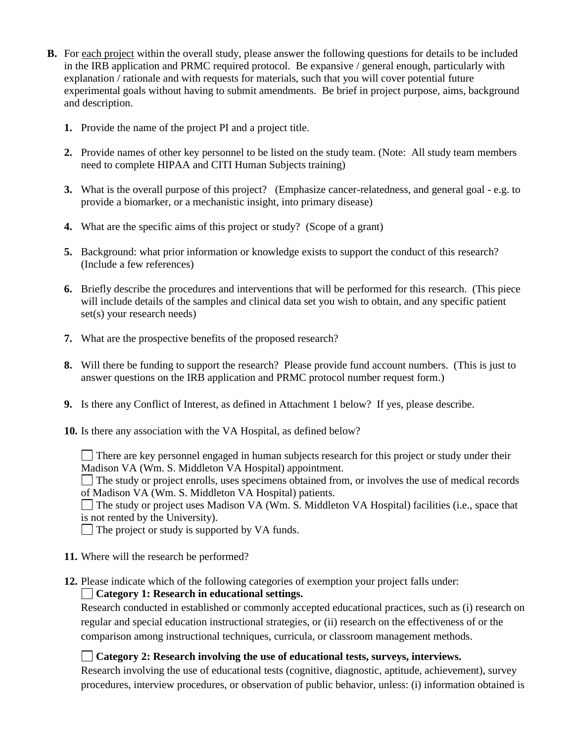- **B.** For each project within the overall study, please answer the following questions for details to be included in the IRB application and PRMC required protocol. Be expansive / general enough, particularly with explanation / rationale and with requests for materials, such that you will cover potential future experimental goals without having to submit amendments. Be brief in project purpose, aims, background and description.
	- **1.** Provide the name of the project PI and a project title.
	- **2.** Provide names of other key personnel to be listed on the study team. (Note: All study team members need to complete HIPAA and CITI Human Subjects training)
	- **3.** What is the overall purpose of this project? (Emphasize cancer-relatedness, and general goal e.g. to provide a biomarker, or a mechanistic insight, into primary disease)
	- **4.** What are the specific aims of this project or study? (Scope of a grant)
	- **5.** Background: what prior information or knowledge exists to support the conduct of this research? (Include a few references)
	- **6.** Briefly describe the procedures and interventions that will be performed for this research. (This piece will include details of the samples and clinical data set you wish to obtain, and any specific patient set(s) your research needs)
	- **7.** What are the prospective benefits of the proposed research?
	- **8.** Will there be funding to support the research? Please provide fund account numbers. (This is just to answer questions on the IRB application and PRMC protocol number request form.)
	- **9.** Is there any Conflict of Interest, as defined in Attachment 1 below? If yes, please describe.
	- **10.** Is there any association with the VA Hospital, as defined below?
		- There are key personnel engaged in human subjects research for this project or study under their Madison VA (Wm. S. Middleton VA Hospital) appointment.
		- The study or project enrolls, uses specimens obtained from, or involves the use of medical records of Madison VA (Wm. S. Middleton VA Hospital) patients.

The study or project uses Madison VA (Wm. S. Middleton VA Hospital) facilities (i.e., space that is not rented by the University).

 $\Box$  The project or study is supported by VA funds.

- **11.** Where will the research be performed?
- **12.** Please indicate which of the following categories of exemption your project falls under:

#### **Category 1: Research in educational settings.**

Research conducted in established or commonly accepted educational practices, such as (i) research on regular and special education instructional strategies, or (ii) research on the effectiveness of or the comparison among instructional techniques, curricula, or classroom management methods.

**Category 2: Research involving the use of educational tests, surveys, interviews.** 

Research involving the use of educational tests (cognitive, diagnostic, aptitude, achievement), survey procedures, interview procedures, or observation of public behavior, unless: (i) information obtained is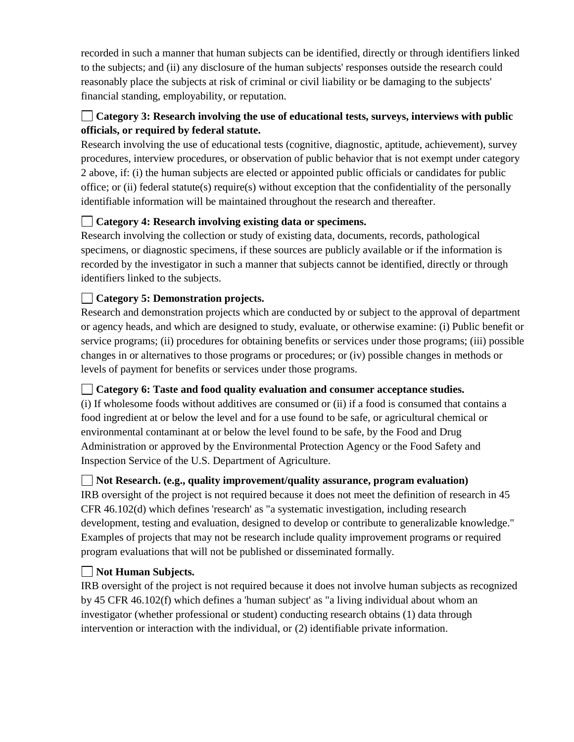recorded in such a manner that human subjects can be identified, directly or through identifiers linked to the subjects; and (ii) any disclosure of the human subjects' responses outside the research could reasonably place the subjects at risk of criminal or civil liability or be damaging to the subjects' financial standing, employability, or reputation.

# **Category 3: Research involving the use of educational tests, surveys, interviews with public officials, or required by federal statute.**

Research involving the use of educational tests (cognitive, diagnostic, aptitude, achievement), survey procedures, interview procedures, or observation of public behavior that is not exempt under category 2 above, if: (i) the human subjects are elected or appointed public officials or candidates for public office; or (ii) federal statute(s) require(s) without exception that the confidentiality of the personally identifiable information will be maintained throughout the research and thereafter.

# **Category 4: Research involving existing data or specimens.**

Research involving the collection or study of existing data, documents, records, pathological specimens, or diagnostic specimens, if these sources are publicly available or if the information is recorded by the investigator in such a manner that subjects cannot be identified, directly or through identifiers linked to the subjects.

### **Category 5: Demonstration projects.**

Research and demonstration projects which are conducted by or subject to the approval of department or agency heads, and which are designed to study, evaluate, or otherwise examine: (i) Public benefit or service programs; (ii) procedures for obtaining benefits or services under those programs; (iii) possible changes in or alternatives to those programs or procedures; or (iv) possible changes in methods or levels of payment for benefits or services under those programs.

### **Category 6: Taste and food quality evaluation and consumer acceptance studies.**

(i) If wholesome foods without additives are consumed or (ii) if a food is consumed that contains a food ingredient at or below the level and for a use found to be safe, or agricultural chemical or environmental contaminant at or below the level found to be safe, by the Food and Drug Administration or approved by the Environmental Protection Agency or the Food Safety and Inspection Service of the U.S. Department of Agriculture.

### **Not Research. (e.g., quality improvement/quality assurance, program evaluation)**

IRB oversight of the project is not required because it does not meet the definition of research in 45 CFR 46.102(d) which defines 'research' as "a systematic investigation, including research development, testing and evaluation, designed to develop or contribute to generalizable knowledge." Examples of projects that may not be research include quality improvement programs or required program evaluations that will not be published or disseminated formally.

### **Not Human Subjects.**

IRB oversight of the project is not required because it does not involve human subjects as recognized by 45 CFR 46.102(f) which defines a 'human subject' as "a living individual about whom an investigator (whether professional or student) conducting research obtains (1) data through intervention or interaction with the individual, or (2) identifiable private information.